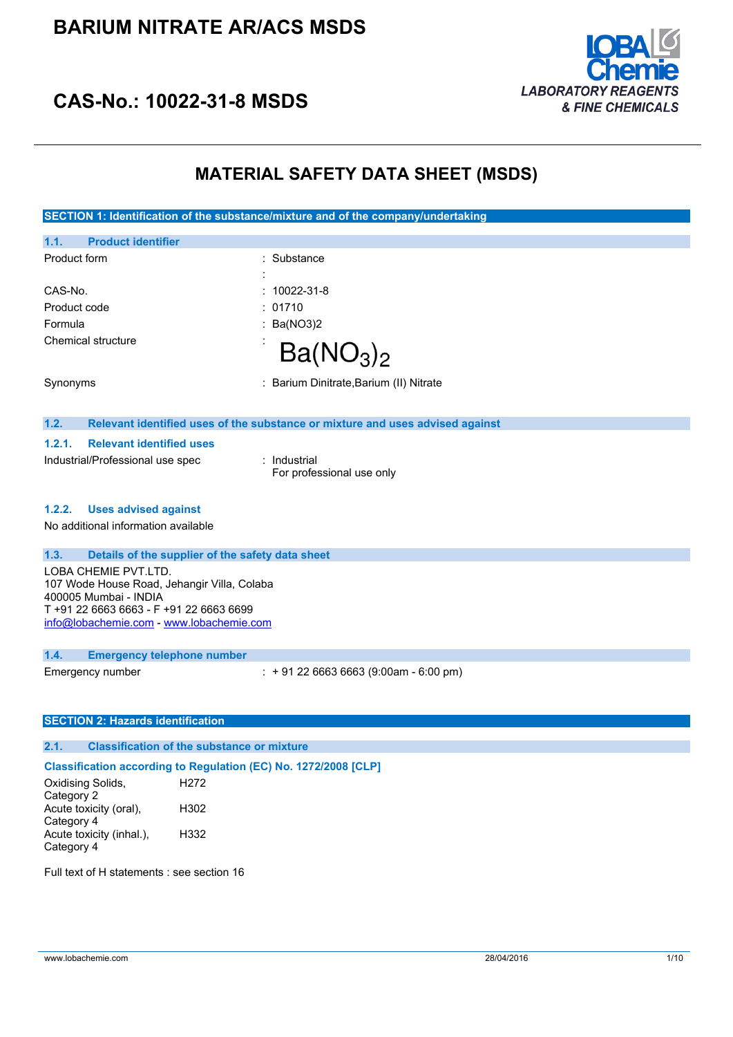## **BARIUM NITRATE AR/ACS MSDS**



### **CAS-No.: 10022-31-8 MSDS**

### **MATERIAL SAFETY DATA SHEET (MSDS)**

| SECTION 1: Identification of the substance/mixture and of the company/undertaking   |                                                                               |  |
|-------------------------------------------------------------------------------------|-------------------------------------------------------------------------------|--|
| 1.1.<br><b>Product identifier</b>                                                   |                                                                               |  |
| Product form                                                                        | : Substance                                                                   |  |
|                                                                                     |                                                                               |  |
| CAS-No.                                                                             | 10022-31-8                                                                    |  |
| Product code<br>Formula                                                             | 01710                                                                         |  |
| Chemical structure                                                                  | Ba(NO3)2                                                                      |  |
|                                                                                     | Ba(NO <sub>3</sub> ) <sub>2</sub>                                             |  |
| Synonyms                                                                            | : Barium Dinitrate, Barium (II) Nitrate                                       |  |
| 1.2.                                                                                | Relevant identified uses of the substance or mixture and uses advised against |  |
| 1.2.1.<br><b>Relevant identified uses</b>                                           |                                                                               |  |
| Industrial/Professional use spec                                                    | : Industrial<br>For professional use only                                     |  |
| 1.2.2.<br><b>Uses advised against</b><br>No additional information available        |                                                                               |  |
| 1.3.                                                                                | Details of the supplier of the safety data sheet                              |  |
| LOBA CHEMIE PVT.LTD.<br>107 Wode House Road, Jehangir Villa, Colaba                 |                                                                               |  |
| 400005 Mumbai - INDIA                                                               |                                                                               |  |
| T +91 22 6663 6663 - F +91 22 6663 6699<br>info@lobachemie.com - www.lobachemie.com |                                                                               |  |
|                                                                                     |                                                                               |  |
| 1.4.<br><b>Emergency telephone number</b>                                           |                                                                               |  |
| Emergency number                                                                    | $: +912266636663(9:00am - 6:00 pm)$                                           |  |
|                                                                                     |                                                                               |  |
| <b>SECTION 2: Hazards identification</b>                                            |                                                                               |  |
| 2.1.                                                                                | <b>Classification of the substance or mixture</b>                             |  |
|                                                                                     | Classification according to Regulation (EC) No. 1272/2008 [CLP]               |  |
| Oxidising Solids,<br>Category 2                                                     | H <sub>272</sub>                                                              |  |
| Acute toxicity (oral),<br>Category 4                                                | H302                                                                          |  |
| Acute toxicity (inhal.),<br>Category 4                                              | H332                                                                          |  |
| Full text of H statements : see section 16                                          |                                                                               |  |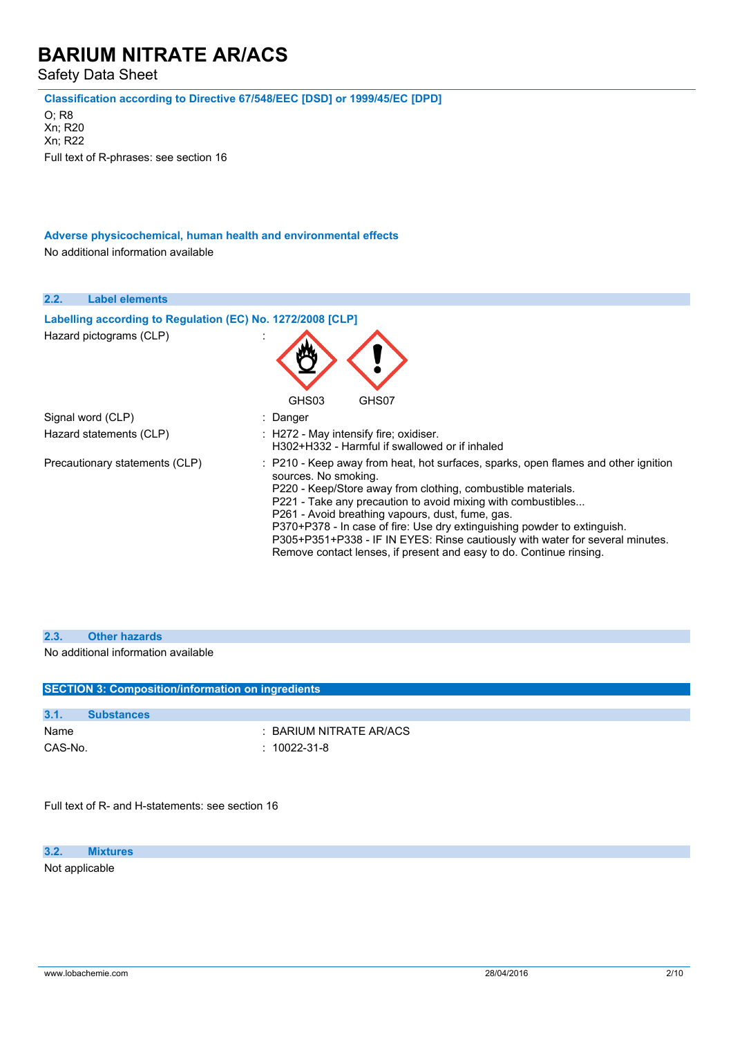Safety Data Sheet

**Classification according to Directive 67/548/EEC [DSD] or 1999/45/EC [DPD]**

O; R8 Xn; R20 Xn; R22 Full text of R-phrases: see section 16

**Adverse physicochemical, human health and environmental effects** No additional information available

| 2.2.<br><b>Label elements</b>                              |                                                                                                                                                                                                                                                                                                                                                                                                                                                                                                                                    |
|------------------------------------------------------------|------------------------------------------------------------------------------------------------------------------------------------------------------------------------------------------------------------------------------------------------------------------------------------------------------------------------------------------------------------------------------------------------------------------------------------------------------------------------------------------------------------------------------------|
| Labelling according to Regulation (EC) No. 1272/2008 [CLP] |                                                                                                                                                                                                                                                                                                                                                                                                                                                                                                                                    |
| Hazard pictograms (CLP)                                    |                                                                                                                                                                                                                                                                                                                                                                                                                                                                                                                                    |
|                                                            | GHS03<br>GHS07                                                                                                                                                                                                                                                                                                                                                                                                                                                                                                                     |
| Signal word (CLP)                                          | : Danger                                                                                                                                                                                                                                                                                                                                                                                                                                                                                                                           |
| Hazard statements (CLP)                                    | : H272 - May intensify fire; oxidiser.<br>H302+H332 - Harmful if swallowed or if inhaled                                                                                                                                                                                                                                                                                                                                                                                                                                           |
| Precautionary statements (CLP)                             | : P210 - Keep away from heat, hot surfaces, sparks, open flames and other ignition<br>sources. No smoking.<br>P220 - Keep/Store away from clothing, combustible materials.<br>P221 - Take any precaution to avoid mixing with combustibles<br>P261 - Avoid breathing vapours, dust, fume, gas.<br>P370+P378 - In case of fire: Use dry extinguishing powder to extinguish.<br>P305+P351+P338 - IF IN EYES: Rinse cautiously with water for several minutes.<br>Remove contact lenses, if present and easy to do. Continue rinsing. |

| 2.3. | <b>Other hazards</b>                              |
|------|---------------------------------------------------|
|      | No additional information available               |
|      | SECTION 3: Composition/information on ingredients |

| 3.1.    | <b>Substances</b> |                         |
|---------|-------------------|-------------------------|
| Name    |                   | : BARIUM NITRATE AR/ACS |
| CAS-No. |                   | : 10022-31-8            |

Full text of R- and H-statements: see section 16

**3.2. Mixtures** Not applicable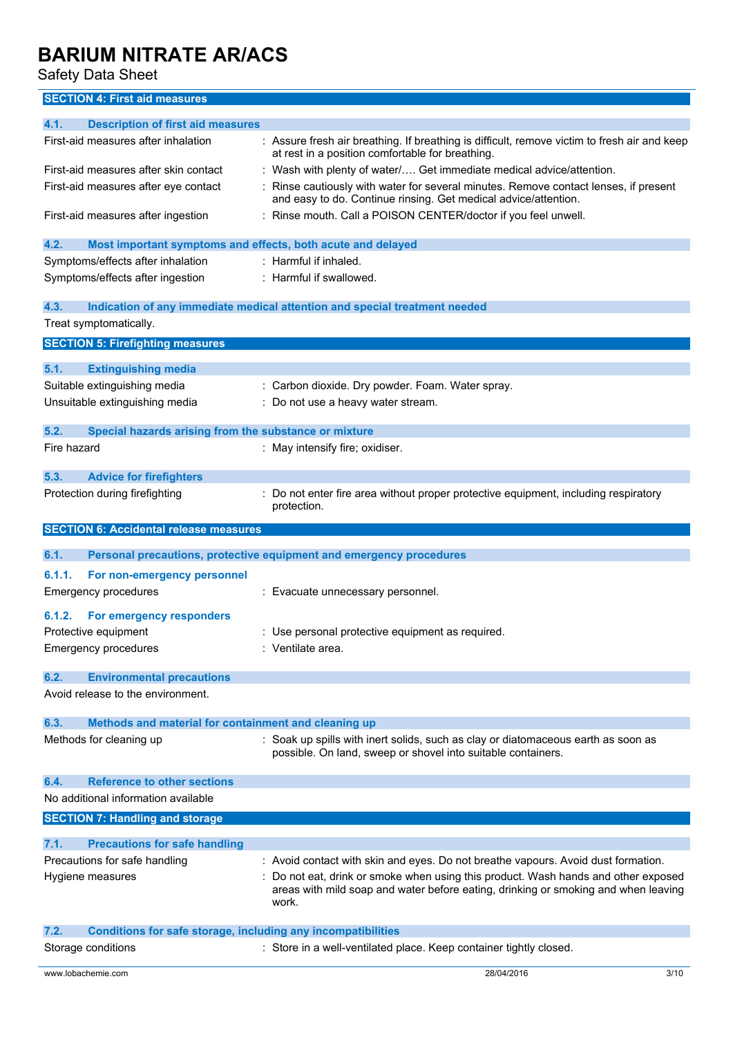Safety Data Sheet

### **SECTION 4: First aid measures**

| 4.1.        | <b>Description of first aid measures</b>                            |                                                                                                                                                                                                                                                               |
|-------------|---------------------------------------------------------------------|---------------------------------------------------------------------------------------------------------------------------------------------------------------------------------------------------------------------------------------------------------------|
|             | First-aid measures after inhalation                                 | : Assure fresh air breathing. If breathing is difficult, remove victim to fresh air and keep<br>at rest in a position comfortable for breathing.                                                                                                              |
|             | First-aid measures after skin contact                               | : Wash with plenty of water/ Get immediate medical advice/attention.                                                                                                                                                                                          |
|             | First-aid measures after eye contact                                | Rinse cautiously with water for several minutes. Remove contact lenses, if present<br>and easy to do. Continue rinsing. Get medical advice/attention.                                                                                                         |
|             | First-aid measures after ingestion                                  | : Rinse mouth. Call a POISON CENTER/doctor if you feel unwell.                                                                                                                                                                                                |
| 4.2.        | Most important symptoms and effects, both acute and delayed         |                                                                                                                                                                                                                                                               |
|             | Symptoms/effects after inhalation                                   | : Harmful if inhaled.                                                                                                                                                                                                                                         |
|             | Symptoms/effects after ingestion                                    | : Harmful if swallowed.                                                                                                                                                                                                                                       |
| 4.3.        |                                                                     | Indication of any immediate medical attention and special treatment needed                                                                                                                                                                                    |
|             | Treat symptomatically.                                              |                                                                                                                                                                                                                                                               |
|             | <b>SECTION 5: Firefighting measures</b>                             |                                                                                                                                                                                                                                                               |
| 5.1.        | <b>Extinguishing media</b>                                          |                                                                                                                                                                                                                                                               |
|             | Suitable extinguishing media                                        | : Carbon dioxide. Dry powder. Foam. Water spray.                                                                                                                                                                                                              |
|             | Unsuitable extinguishing media                                      | Do not use a heavy water stream.                                                                                                                                                                                                                              |
|             |                                                                     |                                                                                                                                                                                                                                                               |
| 5.2.        | Special hazards arising from the substance or mixture               |                                                                                                                                                                                                                                                               |
| Fire hazard |                                                                     | : May intensify fire; oxidiser.                                                                                                                                                                                                                               |
| 5.3.        | <b>Advice for firefighters</b>                                      |                                                                                                                                                                                                                                                               |
|             | Protection during firefighting                                      | Do not enter fire area without proper protective equipment, including respiratory<br>protection.                                                                                                                                                              |
|             | <b>SECTION 6: Accidental release measures</b>                       |                                                                                                                                                                                                                                                               |
|             |                                                                     |                                                                                                                                                                                                                                                               |
|             |                                                                     |                                                                                                                                                                                                                                                               |
| 6.1.        |                                                                     | Personal precautions, protective equipment and emergency procedures                                                                                                                                                                                           |
| 6.1.1.      | For non-emergency personnel                                         |                                                                                                                                                                                                                                                               |
|             | Emergency procedures                                                | : Evacuate unnecessary personnel.                                                                                                                                                                                                                             |
| 6.1.2.      | <b>For emergency responders</b>                                     |                                                                                                                                                                                                                                                               |
|             | Protective equipment                                                | : Use personal protective equipment as required.                                                                                                                                                                                                              |
|             | Emergency procedures                                                | : Ventilate area.                                                                                                                                                                                                                                             |
| 6.2.        | <b>Environmental precautions</b>                                    |                                                                                                                                                                                                                                                               |
|             | Avoid release to the environment.                                   |                                                                                                                                                                                                                                                               |
| 6.3.        | Methods and material for containment and cleaning up                |                                                                                                                                                                                                                                                               |
|             | Methods for cleaning up                                             | : Soak up spills with inert solids, such as clay or diatomaceous earth as soon as<br>possible. On land, sweep or shovel into suitable containers.                                                                                                             |
| 6.4.        | <b>Reference to other sections</b>                                  |                                                                                                                                                                                                                                                               |
|             | No additional information available                                 |                                                                                                                                                                                                                                                               |
|             | <b>SECTION 7: Handling and storage</b>                              |                                                                                                                                                                                                                                                               |
| 7.1.        |                                                                     |                                                                                                                                                                                                                                                               |
|             | <b>Precautions for safe handling</b>                                |                                                                                                                                                                                                                                                               |
|             | Precautions for safe handling<br>Hygiene measures                   | : Avoid contact with skin and eyes. Do not breathe vapours. Avoid dust formation.<br>: Do not eat, drink or smoke when using this product. Wash hands and other exposed<br>areas with mild soap and water before eating, drinking or smoking and when leaving |
|             |                                                                     | work.                                                                                                                                                                                                                                                         |
| 7.2.        | <b>Conditions for safe storage, including any incompatibilities</b> |                                                                                                                                                                                                                                                               |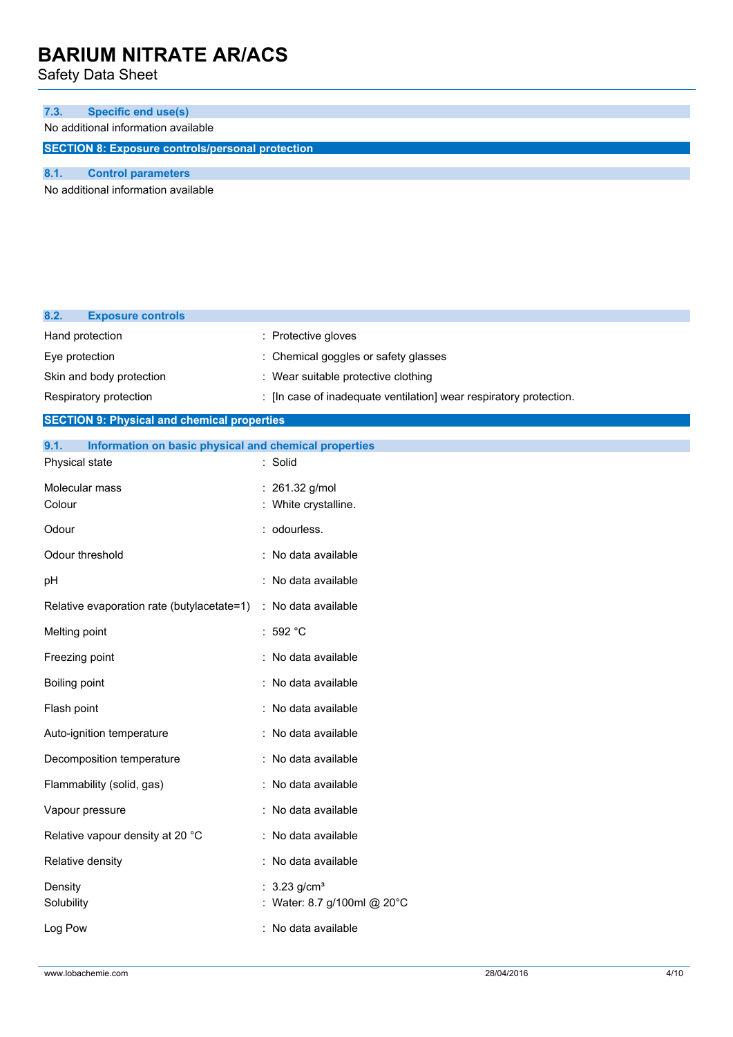Safety Data Sheet

| 7.3.                                                    | <b>Specific end use(s)</b>          |
|---------------------------------------------------------|-------------------------------------|
|                                                         | No additional information available |
| <b>SECTION 8: Exposure controls/personal protection</b> |                                     |
|                                                         |                                     |
|                                                         | <b>Control parameters</b>           |

No additional information available

| 8.2.<br><b>Exposure controls</b>                              |                                                                    |
|---------------------------------------------------------------|--------------------------------------------------------------------|
| Hand protection                                               | : Protective gloves                                                |
| Eye protection                                                | : Chemical goggles or safety glasses                               |
| Skin and body protection                                      | : Wear suitable protective clothing                                |
| Respiratory protection                                        | : [In case of inadequate ventilation] wear respiratory protection. |
| <b>SECTION 9: Physical and chemical properties</b>            |                                                                    |
| 9.1.<br>Information on basic physical and chemical properties |                                                                    |
| Physical state                                                | : Solid                                                            |
| Molecular mass                                                | : 261.32 g/mol                                                     |
| Colour                                                        | : White crystalline.                                               |
| Odour                                                         | : odourless.                                                       |
| Odour threshold                                               | : No data available                                                |
| pH                                                            | : No data available                                                |
| Relative evaporation rate (butylacetate=1)                    | : No data available                                                |
| Melting point                                                 | :592 °C                                                            |
| Freezing point                                                | : No data available                                                |
| Boiling point                                                 | : No data available                                                |
| Flash point                                                   | : No data available                                                |
| Auto-ignition temperature                                     | : No data available                                                |
| Decomposition temperature                                     | : No data available                                                |
| Flammability (solid, gas)                                     | : No data available                                                |
| Vapour pressure                                               | : No data available                                                |
| Relative vapour density at 20 °C                              | : No data available                                                |
| Relative density                                              | : No data available                                                |
| Density<br>Solubility                                         | $3.23$ g/cm <sup>3</sup><br>: Water: 8.7 g/100ml @ 20°C            |
| Log Pow                                                       | : No data available                                                |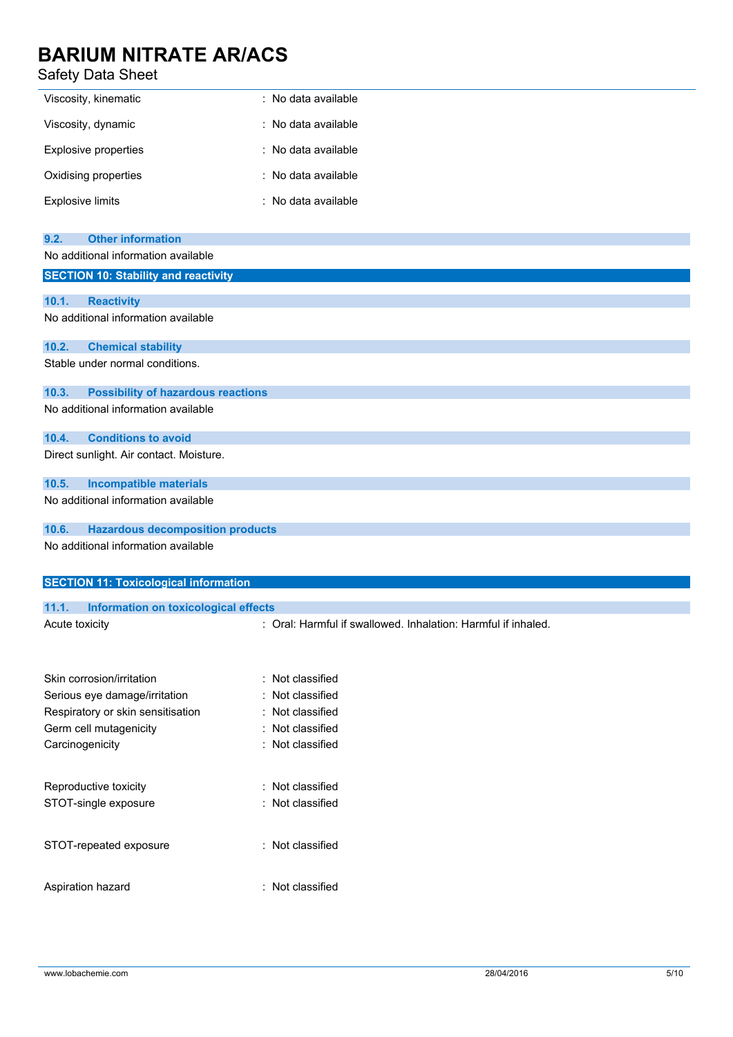### Safety Data Sheet

| Viscosity, kinematic | : No data available |
|----------------------|---------------------|
| Viscosity, dynamic   | : No data available |
| Explosive properties | : No data available |
| Oxidising properties | : No data available |
| Explosive limits     | : No data available |

| <b>Other information</b><br>9.2.                   |                                                               |
|----------------------------------------------------|---------------------------------------------------------------|
| No additional information available                |                                                               |
| <b>SECTION 10: Stability and reactivity</b>        |                                                               |
|                                                    |                                                               |
| 10.1.<br><b>Reactivity</b>                         |                                                               |
| No additional information available                |                                                               |
| 10.2.<br><b>Chemical stability</b>                 |                                                               |
| Stable under normal conditions.                    |                                                               |
|                                                    |                                                               |
| 10.3.<br><b>Possibility of hazardous reactions</b> |                                                               |
| No additional information available                |                                                               |
| <b>Conditions to avoid</b><br>10.4.                |                                                               |
| Direct sunlight. Air contact. Moisture.            |                                                               |
| 10.5.<br><b>Incompatible materials</b>             |                                                               |
| No additional information available                |                                                               |
| 10.6.<br><b>Hazardous decomposition products</b>   |                                                               |
| No additional information available                |                                                               |
|                                                    |                                                               |
| <b>SECTION 11: Toxicological information</b>       |                                                               |
| 11.1.<br>Information on toxicological effects      |                                                               |
| Acute toxicity                                     | : Oral: Harmful if swallowed. Inhalation: Harmful if inhaled. |
|                                                    |                                                               |
|                                                    |                                                               |
| Skin corrosion/irritation                          | : Not classified                                              |
| Serious eye damage/irritation                      | Not classified                                                |
| Respiratory or skin sensitisation                  | Not classified                                                |
| Germ cell mutagenicity                             | Not classified                                                |
| Carcinogenicity                                    | : Not classified                                              |
|                                                    |                                                               |
| Reproductive toxicity                              | Not classified                                                |
| STOT-single exposure                               | : Not classified                                              |
|                                                    |                                                               |
| STOT-repeated exposure                             | : Not classified                                              |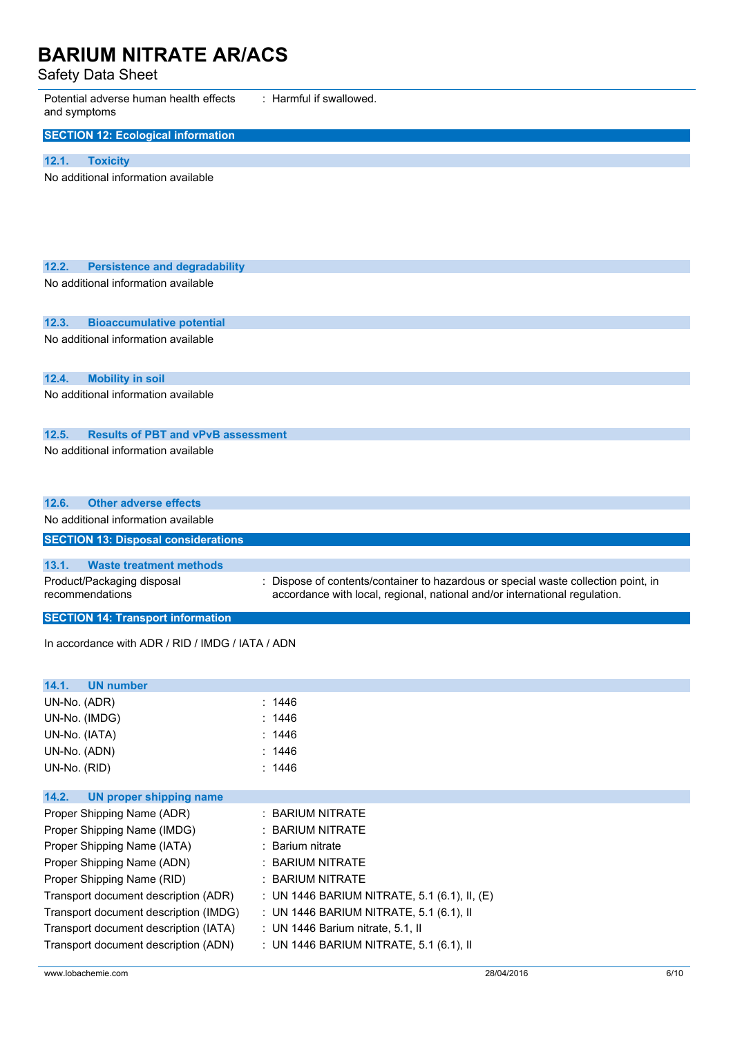Safety Data Sheet

| ,,,,,,,,,,,,                                                                      |                                                                                    |  |
|-----------------------------------------------------------------------------------|------------------------------------------------------------------------------------|--|
| : Harmful if swallowed.<br>Potential adverse human health effects<br>and symptoms |                                                                                    |  |
| <b>SECTION 12: Ecological information</b>                                         |                                                                                    |  |
| 12.1.<br><b>Toxicity</b>                                                          |                                                                                    |  |
| No additional information available                                               |                                                                                    |  |
|                                                                                   |                                                                                    |  |
|                                                                                   |                                                                                    |  |
|                                                                                   |                                                                                    |  |
|                                                                                   |                                                                                    |  |
|                                                                                   |                                                                                    |  |
| 12.2.<br><b>Persistence and degradability</b>                                     |                                                                                    |  |
| No additional information available                                               |                                                                                    |  |
|                                                                                   |                                                                                    |  |
| 12.3.<br><b>Bioaccumulative potential</b>                                         |                                                                                    |  |
| No additional information available                                               |                                                                                    |  |
|                                                                                   |                                                                                    |  |
| 12.4.<br><b>Mobility in soil</b>                                                  |                                                                                    |  |
| No additional information available                                               |                                                                                    |  |
|                                                                                   |                                                                                    |  |
|                                                                                   |                                                                                    |  |
| <b>Results of PBT and vPvB assessment</b><br>12.5.                                |                                                                                    |  |
| No additional information available                                               |                                                                                    |  |
|                                                                                   |                                                                                    |  |
|                                                                                   |                                                                                    |  |
| <b>Other adverse effects</b><br>12.6.                                             |                                                                                    |  |
| No additional information available                                               |                                                                                    |  |
| <b>SECTION 13: Disposal considerations</b>                                        |                                                                                    |  |
| 13.1.<br><b>Waste treatment methods</b>                                           |                                                                                    |  |
| Product/Packaging disposal                                                        | : Dispose of contents/container to hazardous or special waste collection point, in |  |
| recommendations                                                                   | accordance with local, regional, national and/or international regulation.         |  |
| <b>SECTION 14: Transport information</b>                                          |                                                                                    |  |
|                                                                                   |                                                                                    |  |
| In accordance with ADR / RID / IMDG / IATA / ADN                                  |                                                                                    |  |
|                                                                                   |                                                                                    |  |
| 14.1.<br><b>UN number</b>                                                         |                                                                                    |  |
| UN-No. (ADR)                                                                      | : 1446                                                                             |  |
| UN-No. (IMDG)                                                                     | : 1446                                                                             |  |
| UN-No. (IATA)                                                                     | : 1446                                                                             |  |
| UN-No. (ADN)                                                                      | : 1446                                                                             |  |
| UN-No. (RID)                                                                      | : $1446$                                                                           |  |
|                                                                                   |                                                                                    |  |
| 14.2.<br><b>UN proper shipping name</b>                                           |                                                                                    |  |
| Proper Shipping Name (ADR)                                                        | : BARIUM NITRATE                                                                   |  |
| Proper Shipping Name (IMDG)                                                       | <b>BARIUM NITRATE</b>                                                              |  |
| Proper Shipping Name (IATA)                                                       | Barium nitrate                                                                     |  |
| Proper Shipping Name (ADN)                                                        | <b>BARIUM NITRATE</b>                                                              |  |
| Proper Shipping Name (RID)                                                        | <b>BARIUM NITRATE</b>                                                              |  |
| Transport document description (ADR)                                              | : UN 1446 BARIUM NITRATE, 5.1 (6.1), II, (E)                                       |  |
| Transport document description (IMDG)                                             | : UN 1446 BARIUM NITRATE, 5.1 (6.1), II                                            |  |
| Transport document description (IATA)                                             | : UN 1446 Barium nitrate, 5.1, II                                                  |  |

Transport document description (ADN) : UN 1446 BARIUM NITRATE, 5.1 (6.1), II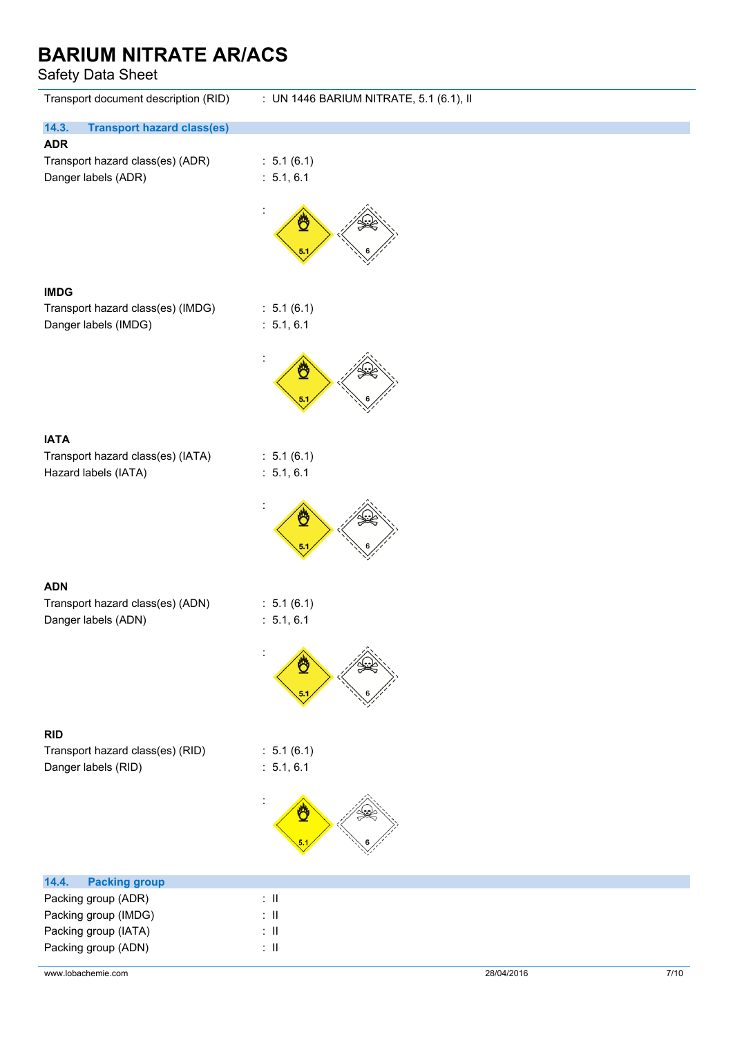Safety Data Sheet

| Transport document description (RID)                                     | : UN 1446 BARIUM NITRATE, 5.1 (6.1), II |
|--------------------------------------------------------------------------|-----------------------------------------|
| 14.3.<br><b>Transport hazard class(es)</b>                               |                                         |
| <b>ADR</b><br>Transport hazard class(es) (ADR)<br>Danger labels (ADR)    | : 5.1(6.1)<br>: 5.1, 6.1                |
|                                                                          | Ö<br>5.1                                |
| <b>IMDG</b>                                                              |                                         |
| Transport hazard class(es) (IMDG)<br>Danger labels (IMDG)                | : 5.1(6.1)<br>: 5.1, 6.1                |
|                                                                          | Ö<br>5.1                                |
|                                                                          |                                         |
| <b>IATA</b><br>Transport hazard class(es) (IATA)<br>Hazard labels (IATA) | : 5.1(6.1)<br>: 5.1, 6.1                |
|                                                                          | ₾<br>5.1                                |
|                                                                          |                                         |
| <b>ADN</b><br>Transport hazard class(es) (ADN)<br>Danger labels (ADN)    | : 5.1(6.1)<br>: 5.1, 6.1                |
|                                                                          |                                         |
|                                                                          |                                         |
| <b>RID</b>                                                               |                                         |
| Transport hazard class(es) (RID)<br>Danger labels (RID)                  | : 5.1(6.1)<br>: 5.1, 6.1                |
|                                                                          |                                         |
| 14.4.<br><b>Packing group</b>                                            |                                         |
| Packing group (ADR)                                                      | $\colon$ II                             |
| Packing group (IMDG)                                                     | $\mathbb{R}^{\mathbb{N}}$               |
| Packing group (IATA)                                                     | $\colon$ II                             |
| Packing group (ADN)                                                      | $\colon \, \mathrm{I\!I}$               |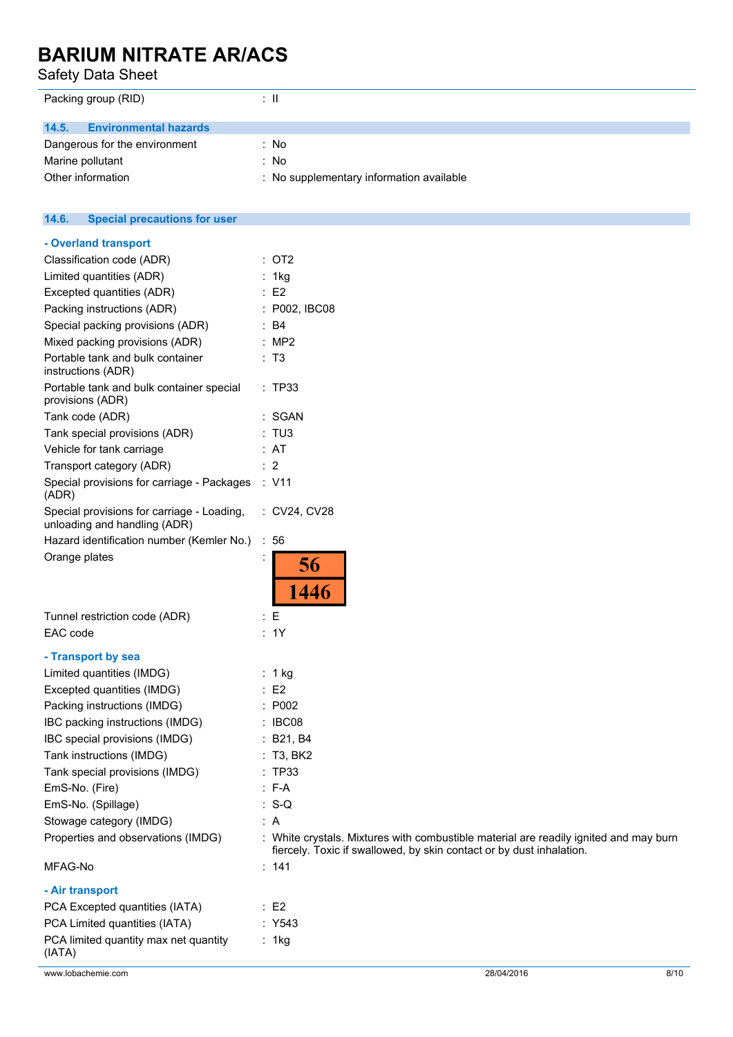Safety Data Sheet

| ÷Ш                                       |
|------------------------------------------|
|                                          |
|                                          |
| : No                                     |
| : No                                     |
| : No supplementary information available |
|                                          |

#### $14.6.$ **14.6. Special precautions for user**

| - Overland transport                                                       |                                                                                                                                                               |
|----------------------------------------------------------------------------|---------------------------------------------------------------------------------------------------------------------------------------------------------------|
| Classification code (ADR)                                                  | : OT2                                                                                                                                                         |
| Limited quantities (ADR)                                                   | : 1kg                                                                                                                                                         |
| Excepted quantities (ADR)                                                  | $\therefore$ E2                                                                                                                                               |
| Packing instructions (ADR)                                                 | : P002, IBC08                                                                                                                                                 |
| Special packing provisions (ADR)                                           | $\therefore$ B4                                                                                                                                               |
| Mixed packing provisions (ADR)                                             | : MP2                                                                                                                                                         |
| Portable tank and bulk container<br>instructions (ADR)                     | : T3                                                                                                                                                          |
| Portable tank and bulk container special<br>provisions (ADR)               | : TP33                                                                                                                                                        |
| Tank code (ADR)                                                            | : SGAN                                                                                                                                                        |
| Tank special provisions (ADR)                                              | : TUS                                                                                                                                                         |
| Vehicle for tank carriage                                                  | : AT                                                                                                                                                          |
| Transport category (ADR)                                                   | $\therefore$ 2                                                                                                                                                |
| Special provisions for carriage - Packages<br>(ADR)                        | : V11                                                                                                                                                         |
| Special provisions for carriage - Loading,<br>unloading and handling (ADR) | : CV24, CV28                                                                                                                                                  |
| Hazard identification number (Kemler No.)                                  | :56                                                                                                                                                           |
| Orange plates                                                              | 56<br>1446                                                                                                                                                    |
| Tunnel restriction code (ADR)                                              | $\colon E$                                                                                                                                                    |
| EAC code                                                                   | : 1Y                                                                                                                                                          |
| - Transport by sea                                                         |                                                                                                                                                               |
| Limited quantities (IMDG)                                                  | : 1 kg                                                                                                                                                        |
| Excepted quantities (IMDG)                                                 | $\therefore$ E2                                                                                                                                               |
| Packing instructions (IMDG)                                                | : P002                                                                                                                                                        |
| IBC packing instructions (IMDG)                                            | : IBC08                                                                                                                                                       |
| IBC special provisions (IMDG)                                              | : B21, B4                                                                                                                                                     |
| Tank instructions (IMDG)                                                   | : T3, BK2                                                                                                                                                     |
| Tank special provisions (IMDG)                                             | : TP33                                                                                                                                                        |
| EmS-No. (Fire)                                                             | F-A                                                                                                                                                           |
| EmS-No. (Spillage)                                                         | : S-Q                                                                                                                                                         |
| Stowage category (IMDG)                                                    | : A                                                                                                                                                           |
| Properties and observations (IMDG)                                         | : White crystals. Mixtures with combustible material are readily ignited and may burn<br>fiercely. Toxic if swallowed, by skin contact or by dust inhalation. |
| MFAG-No                                                                    | : 141                                                                                                                                                         |
| - Air transport                                                            |                                                                                                                                                               |
| PCA Excepted quantities (IATA)                                             | $\therefore$ E2                                                                                                                                               |
| PCA Limited quantities (IATA)                                              | : Y543                                                                                                                                                        |
| PCA limited quantity max net quantity                                      | : 1kg                                                                                                                                                         |
|                                                                            |                                                                                                                                                               |

(IATA)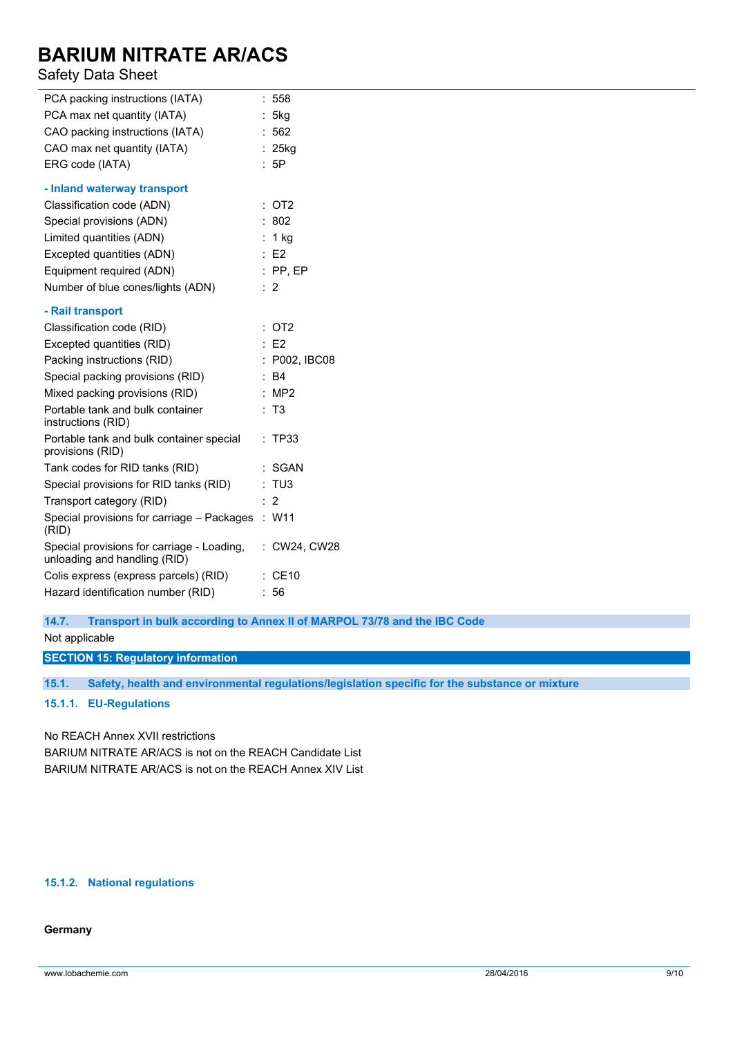### Safety Data Sheet

| $\ddot{\phantom{a}}$ | 558                                                        |
|----------------------|------------------------------------------------------------|
|                      | 5kg                                                        |
|                      | 562                                                        |
|                      | $: 25$ kg                                                  |
|                      | :5P                                                        |
|                      |                                                            |
|                      | OT <sub>2</sub>                                            |
|                      | 802                                                        |
|                      | 1 <sub>kg</sub>                                            |
|                      | E <sub>2</sub>                                             |
|                      | $:$ PP, EP                                                 |
|                      | :2                                                         |
|                      |                                                            |
|                      | OT <sub>2</sub>                                            |
|                      | E2                                                         |
|                      | P002, IBC08                                                |
|                      | B4                                                         |
|                      | MP <sub>2</sub>                                            |
|                      | : T3                                                       |
|                      | : TP33                                                     |
|                      | <b>SGAN</b>                                                |
|                      | : TU3                                                      |
|                      | $\overline{2}$                                             |
|                      | $:$ W11                                                    |
|                      | : CW24, CW28                                               |
| $\ddot{\phantom{a}}$ | <b>CE10</b>                                                |
| ٠                    | 56                                                         |
|                      | ÷<br>÷.<br>÷<br>Special provisions for carriage - Packages |

### **14.7. Transport in bulk according to Annex II of MARPOL 73/78 and the IBC Code**

Not applicable

**SECTION 15: Regulatory information**

**15.1. Safety, health and environmental regulations/legislation specific for the substance or mixture**

### **15.1.1. EU-Regulations**

### No REACH Annex XVII restrictions

BARIUM NITRATE AR/ACS is not on the REACH Candidate List BARIUM NITRATE AR/ACS is not on the REACH Annex XIV List

### **15.1.2. National regulations**

### **Germany**